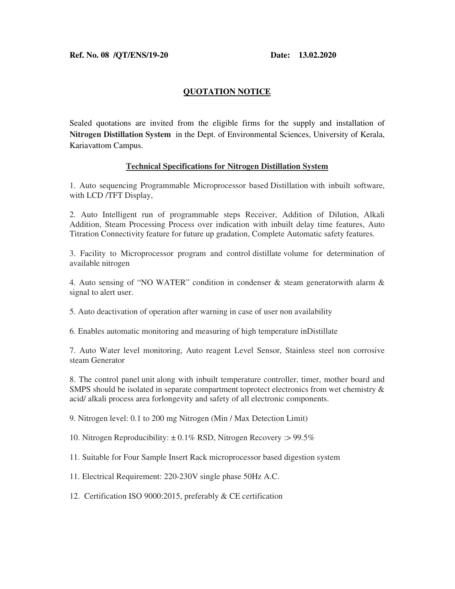## **QUOTATION NOTICE**

Sealed quotations are invited from the eligible firms for the supply and installation of **Nitrogen Distillation System** in the Dept. of Environmental Sciences, University of Kerala, Kariavattom Campus.

## **Technical Specifications for Nitrogen Distillation System**

1. Auto sequencing Programmable Microprocessor based Distillation with inbuilt software, with LCD /TFT Display,

2. Auto Intelligent run of programmable steps Receiver, Addition of Dilution, Alkali Addition, Steam Processing Process over indication with inbuilt delay time features, Auto Titration Connectivity feature for future up gradation, Complete Automatic safety features.

3. Facility to Microprocessor program and control distillate volume for determination of available nitrogen

4. Auto sensing of "NO WATER" condition in condenser  $\&$  steam generator with alarm  $\&$ signal to alert user.

5. Auto deactivation of operation after warning in case of user non availability

6. Enables automatic monitoring and measuring of high temperature inDistillate

7. Auto Water level monitoring, Auto reagent Level Sensor, Stainless steel non corrosive steam Generator

8. The control panel unit along with inbuilt temperature controller, timer, mother board and SMPS should be isolated in separate compartment toprotect electronics from wet chemistry & acid/ alkali process area forlongevity and safety of all electronic components.

9. Nitrogen level: 0.1 to 200 mg Nitrogen (Min / Max Detection Limit)

10. Nitrogen Reproducibility:  $\pm 0.1\%$  RSD, Nitrogen Recovery :> 99.5%

11. Suitable for Four Sample Insert Rack microprocessor based digestion system

11. Electrical Requirement: 220-230V single phase 50Hz A.C.

12. Certification ISO 9000:2015, preferably & CE certification